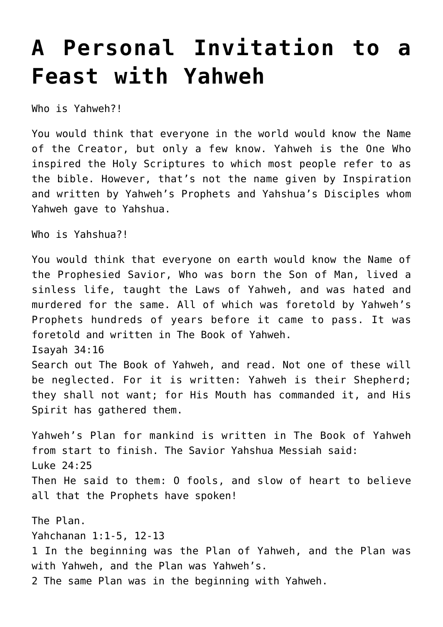## **[A Personal Invitation to a](https://yahwehsbranch.com/a-personal-invitation-to-a-feast-with-yahweh/) [Feast with Yahweh](https://yahwehsbranch.com/a-personal-invitation-to-a-feast-with-yahweh/)**

Who is Yahweh?!

You would think that everyone in the world would know the Name of the Creator, but only a few know. Yahweh is the One Who inspired the Holy Scriptures to which most people refer to as the bible. However, that's not the name given by Inspiration and written by Yahweh's Prophets and Yahshua's Disciples whom Yahweh gave to Yahshua.

Who is Yahshua?!

You would think that everyone on earth would know the Name of the Prophesied Savior, Who was born the Son of Man, lived a sinless life, taught the Laws of Yahweh, and was hated and murdered for the same. All of which was foretold by Yahweh's Prophets hundreds of years before it came to pass. It was foretold and written in The Book of Yahweh. Isayah 34:16 Search out The Book of Yahweh, and read. Not one of these will be neglected. For it is written: Yahweh is their Shepherd; they shall not want; for His Mouth has commanded it, and His Spirit has gathered them.

Yahweh's Plan for mankind is written in The Book of Yahweh from start to finish. The Savior Yahshua Messiah said: Luke 24:25 Then He said to them: O fools, and slow of heart to believe all that the Prophets have spoken!

The Plan. Yahchanan 1:1-5, 12-13 1 In the beginning was the Plan of Yahweh, and the Plan was with Yahweh, and the Plan was Yahweh's. 2 The same Plan was in the beginning with Yahweh.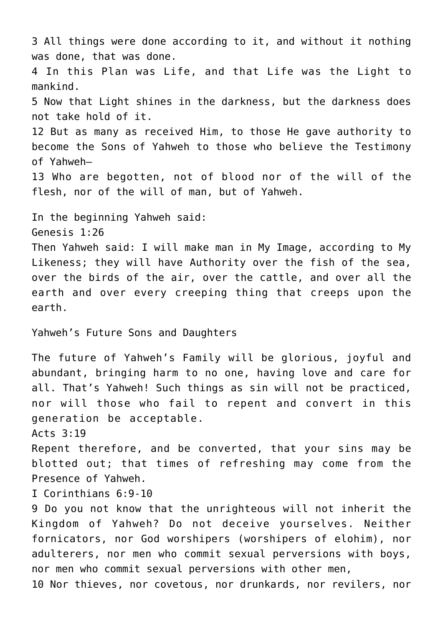3 All things were done according to it, and without it nothing was done, that was done. 4 In this Plan was Life, and that Life was the Light to mankind. 5 Now that Light shines in the darkness, but the darkness does not take hold of it. 12 But as many as received Him, to those He gave authority to become the Sons of Yahweh to those who believe the Testimony of Yahweh— 13 Who are begotten, not of blood nor of the will of the flesh, nor of the will of man, but of Yahweh. In the beginning Yahweh said: Genesis 1:26 Then Yahweh said: I will make man in My Image, according to My Likeness; they will have Authority over the fish of the sea, over the birds of the air, over the cattle, and over all the earth and over every creeping thing that creeps upon the earth. Yahweh's Future Sons and Daughters The future of Yahweh's Family will be glorious, joyful and abundant, bringing harm to no one, having love and care for all. That's Yahweh! Such things as sin will not be practiced, nor will those who fail to repent and convert in this generation be acceptable. Acts 3:19 Repent therefore, and be converted, that your sins may be blotted out; that times of refreshing may come from the Presence of Yahweh. I Corinthians 6:9-10 9 Do you not know that the unrighteous will not inherit the Kingdom of Yahweh? Do not deceive yourselves. Neither fornicators, nor God worshipers (worshipers of elohim), nor adulterers, nor men who commit sexual perversions with boys, nor men who commit sexual perversions with other men, 10 Nor thieves, nor covetous, nor drunkards, nor revilers, nor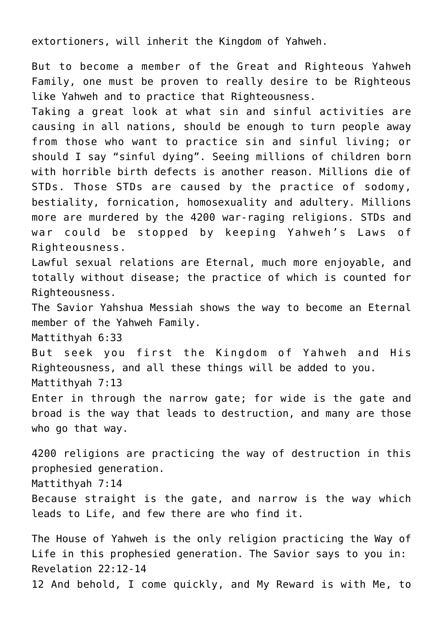extortioners, will inherit the Kingdom of Yahweh.

But to become a member of the Great and Righteous Yahweh Family, one must be proven to really desire to be Righteous like Yahweh and to practice that Righteousness.

Taking a great look at what sin and sinful activities are causing in all nations, should be enough to turn people away from those who want to practice sin and sinful living; or should I say "sinful dying". Seeing millions of children born with horrible birth defects is another reason. Millions die of STDs. Those STDs are caused by the practice of sodomy, bestiality, fornication, homosexuality and adultery. Millions more are murdered by the 4200 war-raging religions. STDs and war could be stopped by keeping Yahweh's Laws of Righteousness.

Lawful sexual relations are Eternal, much more enjoyable, and totally without disease; the practice of which is counted for Righteousness.

The Savior Yahshua Messiah shows the way to become an Eternal member of the Yahweh Family.

Mattithyah 6:33

But seek you first the Kingdom of Yahweh and His Righteousness, and all these things will be added to you. Mattithyah 7:13

Enter in through the narrow gate; for wide is the gate and broad is the way that leads to destruction, and many are those who go that way.

4200 religions are practicing the way of destruction in this prophesied generation. Mattithyah 7:14 Because straight is the gate, and narrow is the way which leads to Life, and few there are who find it.

The House of Yahweh is the only religion practicing the Way of Life in this prophesied generation. The Savior says to you in: Revelation 22:12-14 12 And behold, I come quickly, and My Reward is with Me, to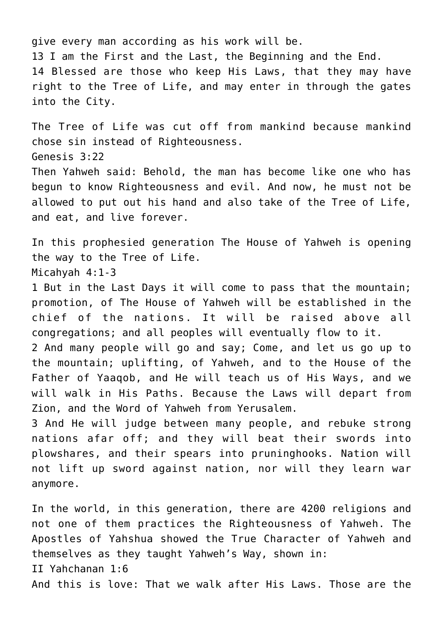give every man according as his work will be. 13 I am the First and the Last, the Beginning and the End. 14 Blessed are those who keep His Laws, that they may have right to the Tree of Life, and may enter in through the gates into the City.

The Tree of Life was cut off from mankind because mankind chose sin instead of Righteousness. Genesis 3:22 Then Yahweh said: Behold, the man has become like one who has begun to know Righteousness and evil. And now, he must not be allowed to put out his hand and also take of the Tree of Life, and eat, and live forever.

In this prophesied generation The House of Yahweh is opening the way to the Tree of Life. Micahyah 4:1-3

1 But in the Last Days it will come to pass that the mountain; promotion, of The House of Yahweh will be established in the chief of the nations. It will be raised above all congregations; and all peoples will eventually flow to it.

2 And many people will go and say; Come, and let us go up to the mountain; uplifting, of Yahweh, and to the House of the Father of Yaaqob, and He will teach us of His Ways, and we will walk in His Paths. Because the Laws will depart from Zion, and the Word of Yahweh from Yerusalem.

3 And He will judge between many people, and rebuke strong nations afar off; and they will beat their swords into plowshares, and their spears into pruninghooks. Nation will not lift up sword against nation, nor will they learn war anymore.

In the world, in this generation, there are 4200 religions and not one of them practices the Righteousness of Yahweh. The Apostles of Yahshua showed the True Character of Yahweh and themselves as they taught Yahweh's Way, shown in: II Yahchanan 1:6 And this is love: That we walk after His Laws. Those are the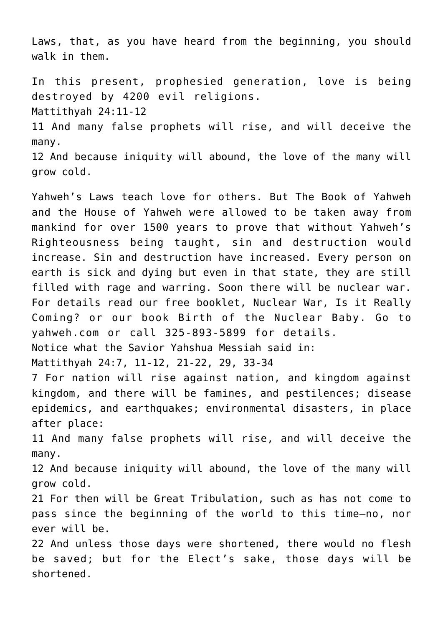Laws, that, as you have heard from the beginning, you should walk in them.

In this present, prophesied generation, love is being destroyed by 4200 evil religions. Mattithyah 24:11-12 11 And many false prophets will rise, and will deceive the many. 12 And because iniquity will abound, the love of the many will grow cold.

Yahweh's Laws teach love for others. But The Book of Yahweh and the House of Yahweh were allowed to be taken away from mankind for over 1500 years to prove that without Yahweh's Righteousness being taught, sin and destruction would increase. Sin and destruction have increased. Every person on earth is sick and dying but even in that state, they are still filled with rage and warring. Soon there will be nuclear war. For details read our free booklet, Nuclear War, Is it Really Coming? or our book Birth of the Nuclear Baby. Go to yahweh.com or call 325-893-5899 for details.

Notice what the Savior Yahshua Messiah said in:

Mattithyah 24:7, 11-12, 21-22, 29, 33-34

7 For nation will rise against nation, and kingdom against kingdom, and there will be famines, and pestilences; disease epidemics, and earthquakes; environmental disasters, in place after place:

11 And many false prophets will rise, and will deceive the many.

12 And because iniquity will abound, the love of the many will grow cold.

21 For then will be Great Tribulation, such as has not come to pass since the beginning of the world to this time—no, nor ever will be.

22 And unless those days were shortened, there would no flesh be saved; but for the Elect's sake, those days will be shortened.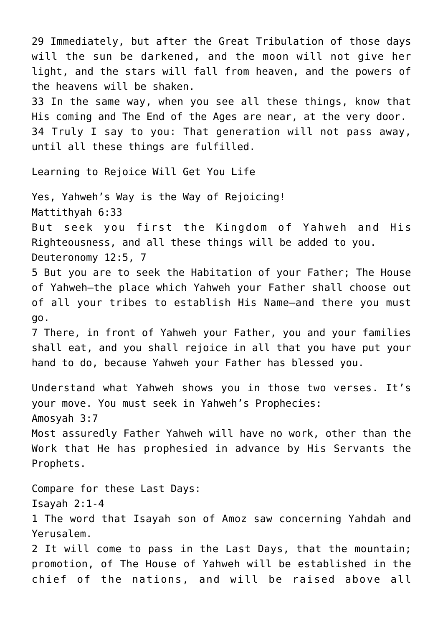29 Immediately, but after the Great Tribulation of those days will the sun be darkened, and the moon will not give her light, and the stars will fall from heaven, and the powers of the heavens will be shaken. 33 In the same way, when you see all these things, know that His coming and The End of the Ages are near, at the very door. 34 Truly I say to you: That generation will not pass away, until all these things are fulfilled. Learning to Rejoice Will Get You Life Yes, Yahweh's Way is the Way of Rejoicing! Mattithyah 6:33 But seek you first the Kingdom of Yahweh and His Righteousness, and all these things will be added to you. Deuteronomy 12:5, 7 5 But you are to seek the Habitation of your Father; The House of Yahweh—the place which Yahweh your Father shall choose out of all your tribes to establish His Name—and there you must go. 7 There, in front of Yahweh your Father, you and your families shall eat, and you shall rejoice in all that you have put your hand to do, because Yahweh your Father has blessed you. Understand what Yahweh shows you in those two verses. It's your move. You must seek in Yahweh's Prophecies: Amosyah 3:7 Most assuredly Father Yahweh will have no work, other than the Work that He has prophesied in advance by His Servants the Prophets. Compare for these Last Days: Isayah 2:1-4 1 The word that Isayah son of Amoz saw concerning Yahdah and Yerusalem. 2 It will come to pass in the Last Days, that the mountain; promotion, of The House of Yahweh will be established in the chief of the nations, and will be raised above all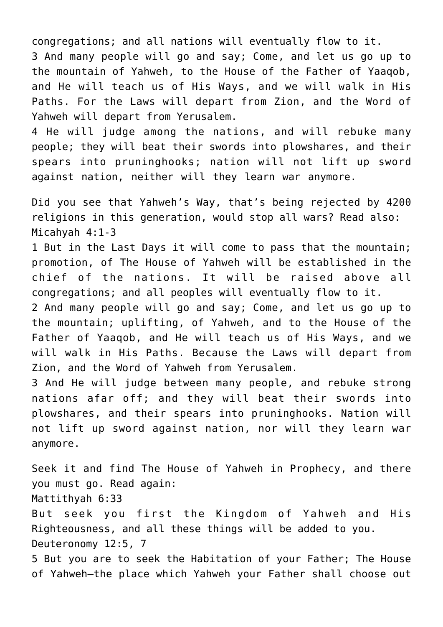congregations; and all nations will eventually flow to it. 3 And many people will go and say; Come, and let us go up to the mountain of Yahweh, to the House of the Father of Yaaqob, and He will teach us of His Ways, and we will walk in His Paths. For the Laws will depart from Zion, and the Word of Yahweh will depart from Yerusalem.

4 He will judge among the nations, and will rebuke many people; they will beat their swords into plowshares, and their spears into pruninghooks; nation will not lift up sword against nation, neither will they learn war anymore.

Did you see that Yahweh's Way, that's being rejected by 4200 religions in this generation, would stop all wars? Read also: Micahyah 4:1-3

1 But in the Last Days it will come to pass that the mountain; promotion, of The House of Yahweh will be established in the chief of the nations. It will be raised above all congregations; and all peoples will eventually flow to it.

2 And many people will go and say; Come, and let us go up to the mountain; uplifting, of Yahweh, and to the House of the Father of Yaaqob, and He will teach us of His Ways, and we will walk in His Paths. Because the Laws will depart from Zion, and the Word of Yahweh from Yerusalem.

3 And He will judge between many people, and rebuke strong nations afar off; and they will beat their swords into plowshares, and their spears into pruninghooks. Nation will not lift up sword against nation, nor will they learn war anymore.

Seek it and find The House of Yahweh in Prophecy, and there you must go. Read again: Mattithyah 6:33 But seek you first the Kingdom of Yahweh and His Righteousness, and all these things will be added to you. Deuteronomy 12:5, 7 5 But you are to seek the Habitation of your Father; The House

of Yahweh—the place which Yahweh your Father shall choose out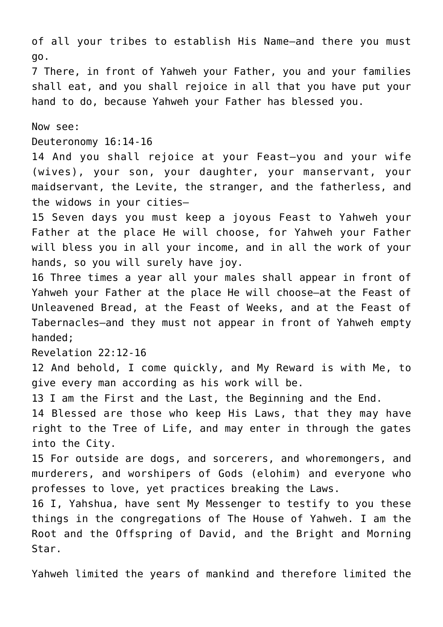of all your tribes to establish His Name—and there you must go.

7 There, in front of Yahweh your Father, you and your families shall eat, and you shall rejoice in all that you have put your hand to do, because Yahweh your Father has blessed you.

Now see:

Deuteronomy 16:14-16

14 And you shall rejoice at your Feast—you and your wife (wives), your son, your daughter, your manservant, your maidservant, the Levite, the stranger, and the fatherless, and the widows in your cities—

15 Seven days you must keep a joyous Feast to Yahweh your Father at the place He will choose, for Yahweh your Father will bless you in all your income, and in all the work of your hands, so you will surely have joy.

16 Three times a year all your males shall appear in front of Yahweh your Father at the place He will choose—at the Feast of Unleavened Bread, at the Feast of Weeks, and at the Feast of Tabernacles—and they must not appear in front of Yahweh empty handed;

Revelation 22:12-16

12 And behold, I come quickly, and My Reward is with Me, to give every man according as his work will be.

13 I am the First and the Last, the Beginning and the End.

14 Blessed are those who keep His Laws, that they may have right to the Tree of Life, and may enter in through the gates into the City.

15 For outside are dogs, and sorcerers, and whoremongers, and murderers, and worshipers of Gods (elohim) and everyone who professes to love, yet practices breaking the Laws.

16 I, Yahshua, have sent My Messenger to testify to you these things in the congregations of The House of Yahweh. I am the Root and the Offspring of David, and the Bright and Morning Star.

Yahweh limited the years of mankind and therefore limited the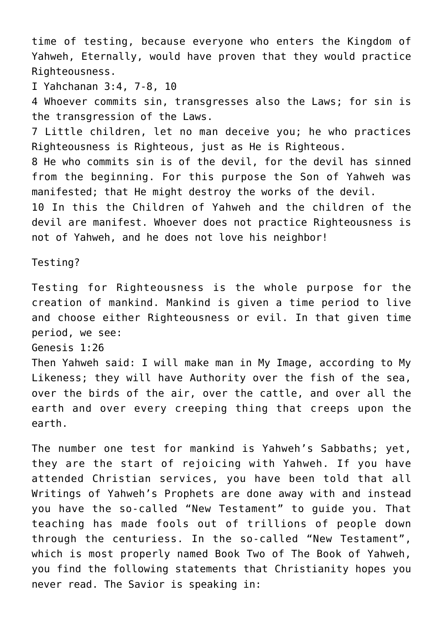time of testing, because everyone who enters the Kingdom of Yahweh, Eternally, would have proven that they would practice Righteousness.

I Yahchanan 3:4, 7-8, 10

4 Whoever commits sin, transgresses also the Laws; for sin is the transgression of the Laws.

7 Little children, let no man deceive you; he who practices Righteousness is Righteous, just as He is Righteous.

8 He who commits sin is of the devil, for the devil has sinned from the beginning. For this purpose the Son of Yahweh was manifested; that He might destroy the works of the devil.

10 In this the Children of Yahweh and the children of the devil are manifest. Whoever does not practice Righteousness is not of Yahweh, and he does not love his neighbor!

Testing?

Testing for Righteousness is the whole purpose for the creation of mankind. Mankind is given a time period to live and choose either Righteousness or evil. In that given time period, we see:

Genesis 1:26

Then Yahweh said: I will make man in My Image, according to My Likeness; they will have Authority over the fish of the sea, over the birds of the air, over the cattle, and over all the earth and over every creeping thing that creeps upon the earth.

The number one test for mankind is Yahweh's Sabbaths; yet, they are the start of rejoicing with Yahweh. If you have attended Christian services, you have been told that all Writings of Yahweh's Prophets are done away with and instead you have the so-called "New Testament" to guide you. That teaching has made fools out of trillions of people down through the centuriess. In the so-called "New Testament", which is most properly named Book Two of The Book of Yahweh, you find the following statements that Christianity hopes you never read. The Savior is speaking in: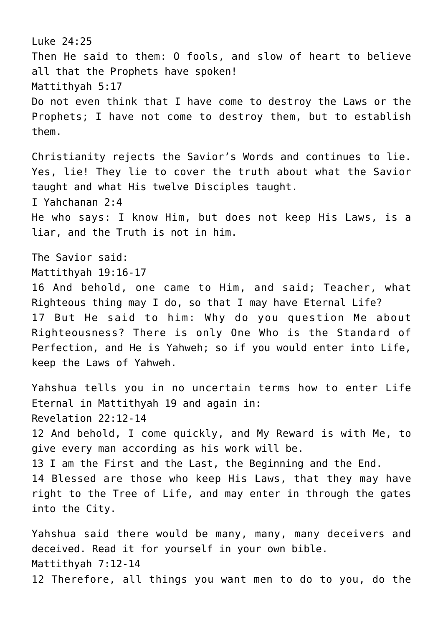Luke 24:25 Then He said to them: O fools, and slow of heart to believe all that the Prophets have spoken! Mattithyah 5:17 Do not even think that I have come to destroy the Laws or the Prophets; I have not come to destroy them, but to establish them. Christianity rejects the Savior's Words and continues to lie. Yes, lie! They lie to cover the truth about what the Savior taught and what His twelve Disciples taught. I Yahchanan 2:4 He who says: I know Him, but does not keep His Laws, is a liar, and the Truth is not in him. The Savior said: Mattithyah 19:16-17 16 And behold, one came to Him, and said; Teacher, what Righteous thing may I do, so that I may have Eternal Life? 17 But He said to him: Why do you question Me about Righteousness? There is only One Who is the Standard of Perfection, and He is Yahweh; so if you would enter into Life, keep the Laws of Yahweh. Yahshua tells you in no uncertain terms how to enter Life Eternal in Mattithyah 19 and again in: Revelation 22:12-14 12 And behold, I come quickly, and My Reward is with Me, to give every man according as his work will be. 13 I am the First and the Last, the Beginning and the End. 14 Blessed are those who keep His Laws, that they may have right to the Tree of Life, and may enter in through the gates into the City. Yahshua said there would be many, many, many deceivers and deceived. Read it for yourself in your own bible. Mattithyah 7:12-14

12 Therefore, all things you want men to do to you, do the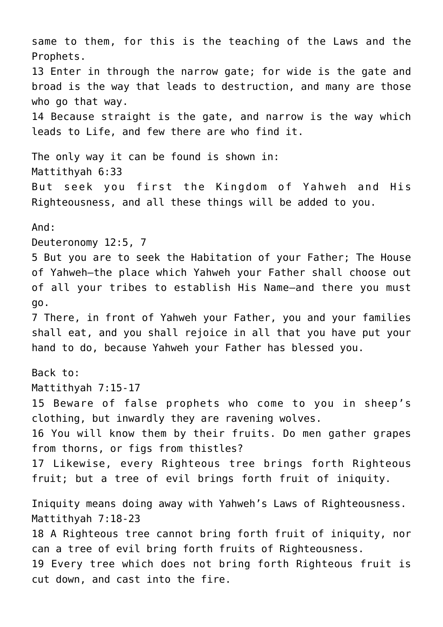same to them, for this is the teaching of the Laws and the Prophets. 13 Enter in through the narrow gate; for wide is the gate and broad is the way that leads to destruction, and many are those who go that way. 14 Because straight is the gate, and narrow is the way which leads to Life, and few there are who find it. The only way it can be found is shown in: Mattithyah 6:33 But seek you first the Kingdom of Yahweh and His Righteousness, and all these things will be added to you. And: Deuteronomy 12:5, 7 5 But you are to seek the Habitation of your Father; The House of Yahweh—the place which Yahweh your Father shall choose out of all your tribes to establish His Name—and there you must go. 7 There, in front of Yahweh your Father, you and your families shall eat, and you shall rejoice in all that you have put your hand to do, because Yahweh your Father has blessed you. Back to: Mattithyah 7:15-17 15 Beware of false prophets who come to you in sheep's clothing, but inwardly they are ravening wolves. 16 You will know them by their fruits. Do men gather grapes from thorns, or figs from thistles? 17 Likewise, every Righteous tree brings forth Righteous fruit; but a tree of evil brings forth fruit of iniquity. Iniquity means doing away with Yahweh's Laws of Righteousness. Mattithyah 7:18-23 18 A Righteous tree cannot bring forth fruit of iniquity, nor can a tree of evil bring forth fruits of Righteousness. 19 Every tree which does not bring forth Righteous fruit is cut down, and cast into the fire.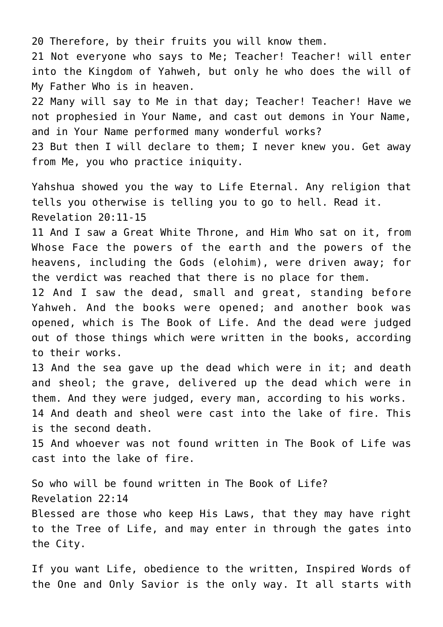20 Therefore, by their fruits you will know them.

21 Not everyone who says to Me; Teacher! Teacher! will enter into the Kingdom of Yahweh, but only he who does the will of My Father Who is in heaven.

22 Many will say to Me in that day; Teacher! Teacher! Have we not prophesied in Your Name, and cast out demons in Your Name, and in Your Name performed many wonderful works?

23 But then I will declare to them; I never knew you. Get away from Me, you who practice iniquity.

Yahshua showed you the way to Life Eternal. Any religion that tells you otherwise is telling you to go to hell. Read it. Revelation 20:11-15

11 And I saw a Great White Throne, and Him Who sat on it, from Whose Face the powers of the earth and the powers of the heavens, including the Gods (elohim), were driven away; for the verdict was reached that there is no place for them.

12 And I saw the dead, small and great, standing before Yahweh. And the books were opened; and another book was opened, which is The Book of Life. And the dead were judged out of those things which were written in the books, according to their works.

13 And the sea gave up the dead which were in it; and death and sheol; the grave, delivered up the dead which were in them. And they were judged, every man, according to his works. 14 And death and sheol were cast into the lake of fire. This is the second death.

15 And whoever was not found written in The Book of Life was cast into the lake of fire.

So who will be found written in The Book of Life? Revelation 22:14 Blessed are those who keep His Laws, that they may have right to the Tree of Life, and may enter in through the gates into

the City.

If you want Life, obedience to the written, Inspired Words of the One and Only Savior is the only way. It all starts with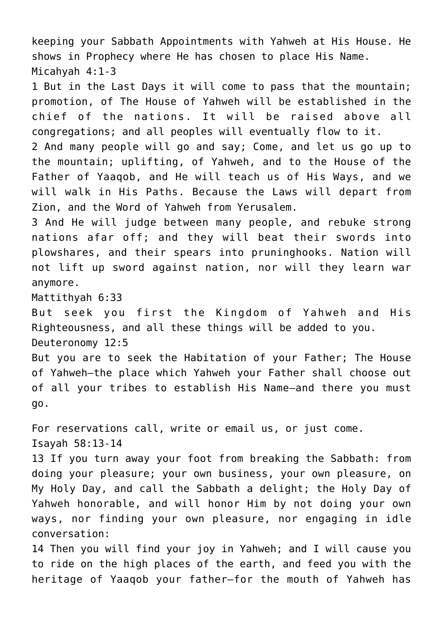keeping your Sabbath Appointments with Yahweh at His House. He shows in Prophecy where He has chosen to place His Name. Micahyah 4:1-3

1 But in the Last Days it will come to pass that the mountain; promotion, of The House of Yahweh will be established in the chief of the nations. It will be raised above all congregations; and all peoples will eventually flow to it.

2 And many people will go and say; Come, and let us go up to the mountain; uplifting, of Yahweh, and to the House of the Father of Yaaqob, and He will teach us of His Ways, and we will walk in His Paths. Because the Laws will depart from Zion, and the Word of Yahweh from Yerusalem.

3 And He will judge between many people, and rebuke strong nations afar off; and they will beat their swords into plowshares, and their spears into pruninghooks. Nation will not lift up sword against nation, nor will they learn war anymore.

Mattithyah 6:33

But seek you first the Kingdom of Yahweh and His Righteousness, and all these things will be added to you. Deuteronomy 12:5

But you are to seek the Habitation of your Father; The House of Yahweh—the place which Yahweh your Father shall choose out of all your tribes to establish His Name—and there you must go.

For reservations call, write or email us, or just come. Isayah 58:13-14

13 If you turn away your foot from breaking the Sabbath: from doing your pleasure; your own business, your own pleasure, on My Holy Day, and call the Sabbath a delight; the Holy Day of Yahweh honorable, and will honor Him by not doing your own ways, nor finding your own pleasure, nor engaging in idle conversation:

14 Then you will find your joy in Yahweh; and I will cause you to ride on the high places of the earth, and feed you with the heritage of Yaaqob your father—for the mouth of Yahweh has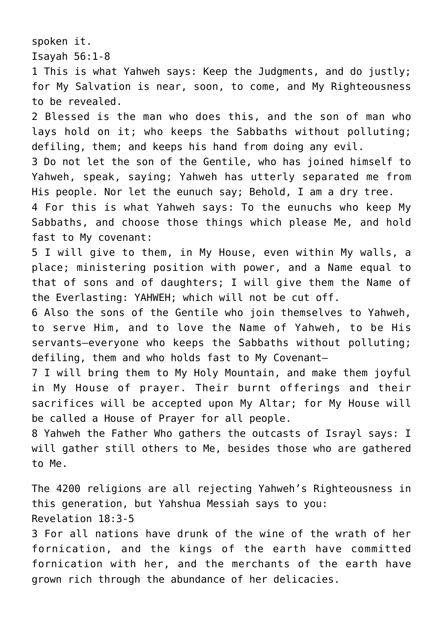spoken it.

Isayah 56:1-8

1 This is what Yahweh says: Keep the Judgments, and do justly; for My Salvation is near, soon, to come, and My Righteousness to be revealed.

2 Blessed is the man who does this, and the son of man who lays hold on it; who keeps the Sabbaths without polluting; defiling, them; and keeps his hand from doing any evil.

3 Do not let the son of the Gentile, who has joined himself to Yahweh, speak, saying; Yahweh has utterly separated me from His people. Nor let the eunuch say; Behold, I am a dry tree.

4 For this is what Yahweh says: To the eunuchs who keep My Sabbaths, and choose those things which please Me, and hold fast to My covenant:

5 I will give to them, in My House, even within My walls, a place; ministering position with power, and a Name equal to that of sons and of daughters; I will give them the Name of the Everlasting: YAHWEH; which will not be cut off.

6 Also the sons of the Gentile who join themselves to Yahweh, to serve Him, and to love the Name of Yahweh, to be His servants—everyone who keeps the Sabbaths without polluting; defiling, them and who holds fast to My Covenant—

7 I will bring them to My Holy Mountain, and make them joyful in My House of prayer. Their burnt offerings and their sacrifices will be accepted upon My Altar; for My House will be called a House of Prayer for all people.

8 Yahweh the Father Who gathers the outcasts of Israyl says: I will gather still others to Me, besides those who are gathered to Me.

The 4200 religions are all rejecting Yahweh's Righteousness in this generation, but Yahshua Messiah says to you: Revelation 18:3-5

3 For all nations have drunk of the wine of the wrath of her fornication, and the kings of the earth have committed fornication with her, and the merchants of the earth have grown rich through the abundance of her delicacies.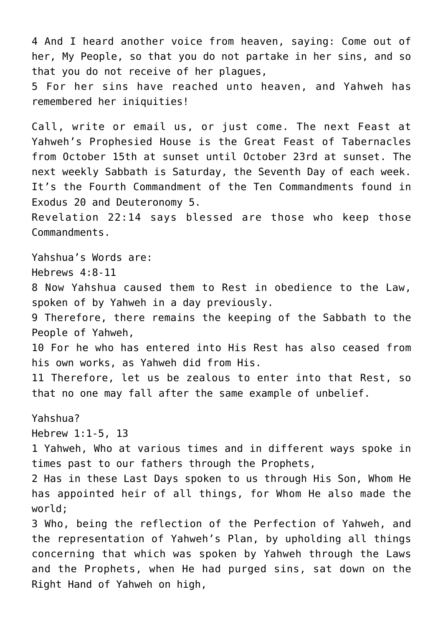4 And I heard another voice from heaven, saying: Come out of her, My People, so that you do not partake in her sins, and so that you do not receive of her plagues,

5 For her sins have reached unto heaven, and Yahweh has remembered her iniquities!

Call, write or email us, or just come. The next Feast at Yahweh's Prophesied House is the Great Feast of Tabernacles from October 15th at sunset until October 23rd at sunset. The next weekly Sabbath is Saturday, the Seventh Day of each week. It's the Fourth Commandment of the Ten Commandments found in Exodus 20 and Deuteronomy 5.

Revelation 22:14 says blessed are those who keep those Commandments.

Yahshua's Words are: Hebrews 4:8-11 8 Now Yahshua caused them to Rest in obedience to the Law, spoken of by Yahweh in a day previously. 9 Therefore, there remains the keeping of the Sabbath to the People of Yahweh, 10 For he who has entered into His Rest has also ceased from his own works, as Yahweh did from His. 11 Therefore, let us be zealous to enter into that Rest, so that no one may fall after the same example of unbelief. Yahshua? Hebrew 1:1-5, 13 1 Yahweh, Who at various times and in different ways spoke in times past to our fathers through the Prophets, 2 Has in these Last Days spoken to us through His Son, Whom He has appointed heir of all things, for Whom He also made the world; 3 Who, being the reflection of the Perfection of Yahweh, and the representation of Yahweh's Plan, by upholding all things concerning that which was spoken by Yahweh through the Laws and the Prophets, when He had purged sins, sat down on the Right Hand of Yahweh on high,